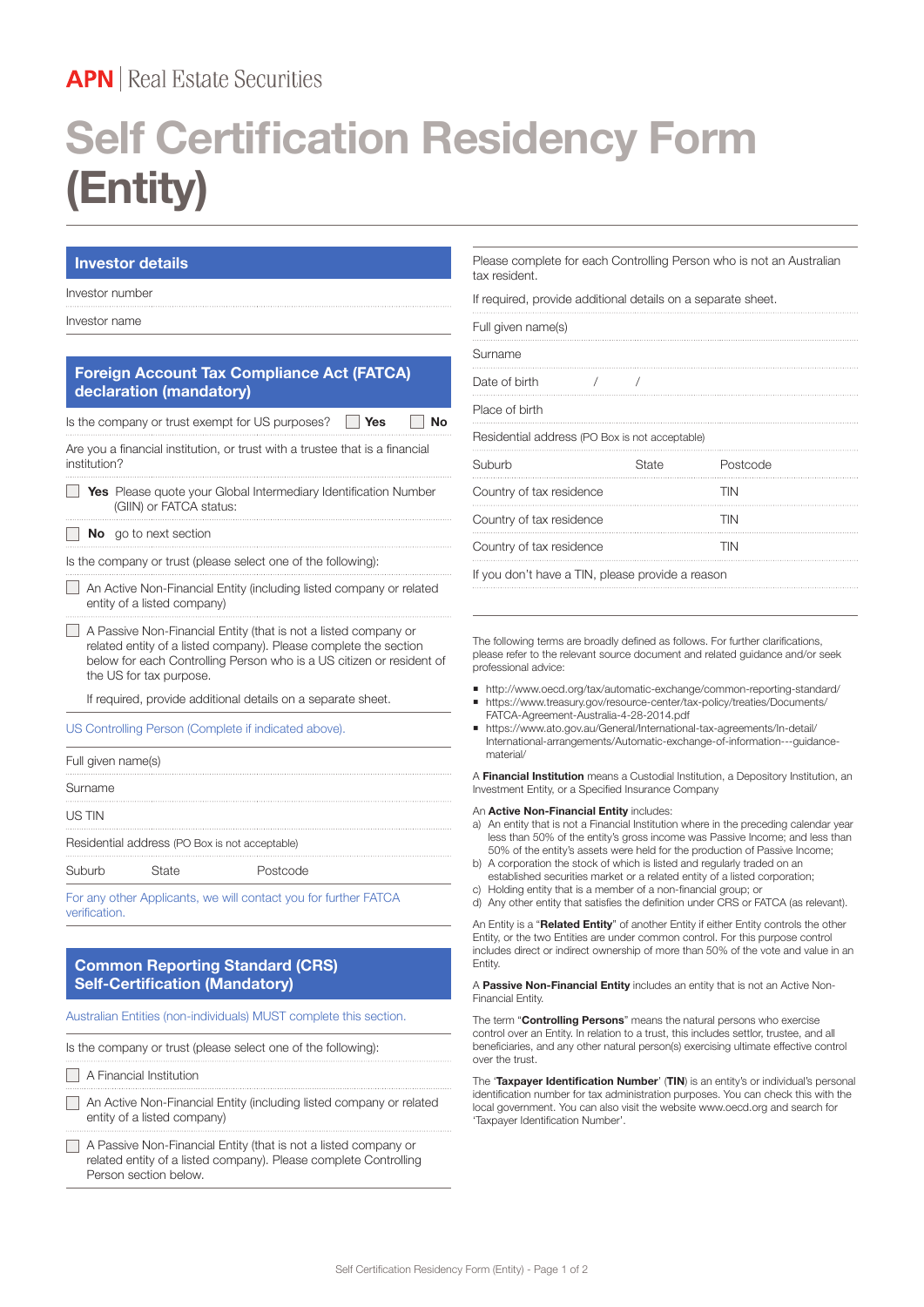# **APN** Real Estate Securities

# **Self Certification Residency Form (Entity)**

# **Investor details**

### Investor number

Investor name

Г

# **Foreign Account Tax Compliance Act (FATCA) declaration (mandatory)**

Is the company or trust exempt for US purposes? **Yes** No

Are you a financial institution, or trust with a trustee that is a financial institution?

|  | <b>Yes</b> Please quote your Global Intermediary Identification Number |
|--|------------------------------------------------------------------------|
|  | (GIIN) or FATCA status:                                                |

#### **No** go to next section

Is the company or trust (please select one of the following):

 An Active Non-Financial Entity (including listed company or related entity of a listed company)

 A Passive Non-Financial Entity (that is not a listed company or related entity of a listed company). Please complete the section below for each Controlling Person who is a US citizen or resident of the US for tax purpose.

If required, provide additional details on a separate sheet.

US Controlling Person (Complete if indicated above).

|                                                |       | $\Gamma$ an ann athan Ann Baanta nuan i 19 ann an Dàrr Luis Cuthan $\Gamma$ A $\Gamma$ OA |  |  |  |  |
|------------------------------------------------|-------|-------------------------------------------------------------------------------------------|--|--|--|--|
| Suburb                                         | State | Postcode                                                                                  |  |  |  |  |
| Residential address (PO Box is not acceptable) |       |                                                                                           |  |  |  |  |
| US TIN                                         |       |                                                                                           |  |  |  |  |
| Surname                                        |       |                                                                                           |  |  |  |  |
| Full given name(s)                             |       |                                                                                           |  |  |  |  |

For any other Applicants, we will contact you for further FATCA verification.

# **Common Reporting Standard (CRS) Self-Certification (Mandatory)**

Australian Entities (non-individuals) MUST complete this section.

Is the company or trust (please select one of the following):

- A Financial Institution
- An Active Non-Financial Entity (including listed company or related entity of a listed company)
- A Passive Non-Financial Entity (that is not a listed company or related entity of a listed company). Please complete Controlling Person section below.

Please complete for each Controlling Person who is not an Australian tax resident.

If required, provide additional details on a separate sheet.

| Full given name(s)                             |  |       |            |  |  |  |  |
|------------------------------------------------|--|-------|------------|--|--|--|--|
| Surname                                        |  |       |            |  |  |  |  |
| Date of birth                                  |  |       |            |  |  |  |  |
| Place of birth                                 |  |       |            |  |  |  |  |
| Residential address (PO Box is not acceptable) |  |       |            |  |  |  |  |
|                                                |  |       |            |  |  |  |  |
| Suburb                                         |  | State | Postcode   |  |  |  |  |
| Country of tax residence                       |  |       | <b>TIN</b> |  |  |  |  |
| Country of tax residence                       |  |       | <b>TIN</b> |  |  |  |  |
| Country of tax residence                       |  |       | <b>TIN</b> |  |  |  |  |

The following terms are broadly defined as follows. For further clarifications, please refer to the relevant source document and related guidance and/or seek professional advice:

- ¡ http://www.oecd.org/tax/automatic-exchange/common-reporting-standard/
- https://www.treasury.gov/resource-center/tax-policy/treaties/Documents/ FATCA-Agreement-Australia-4-28-2014.pdf
- ¡ https://www.ato.gov.au/General/International-tax-agreements/In-detail/ International-arrangements/Automatic-exchange-of-information---guidancematerial/

A **Financial Institution** means a Custodial Institution, a Depository Institution, an Investment Entity, or a Specified Insurance Company

#### An **Active Non-Financial Entity** includes:

- a) An entity that is not a Financial Institution where in the preceding calendar year less than 50% of the entity's gross income was Passive Income; and less than 50% of the entity's assets were held for the production of Passive Income;
- b) A corporation the stock of which is listed and regularly traded on an established securities market or a related entity of a listed corporation;
- c) Holding entity that is a member of a non-financial group; or d) Any other entity that satisfies the definition under CRS or FATCA (as relevant).

An Entity is a "**Related Entity**" of another Entity if either Entity controls the other Entity, or the two Entities are under common control. For this purpose control includes direct or indirect ownership of more than 50% of the vote and value in an Entity.

A **Passive Non-Financial Entity** includes an entity that is not an Active Non-Financial Entity.

The term "**Controlling Persons**" means the natural persons who exercise control over an Entity. In relation to a trust, this includes settlor, trustee, and all beneficiaries, and any other natural person(s) exercising ultimate effective control over the trust.

The '**Taxpayer Identification Number**' (**TIN**) is an entity's or individual's personal identification number for tax administration purposes. You can check this with the local government. You can also visit the website www.oecd.org and search for 'Taxpayer Identification Number'.